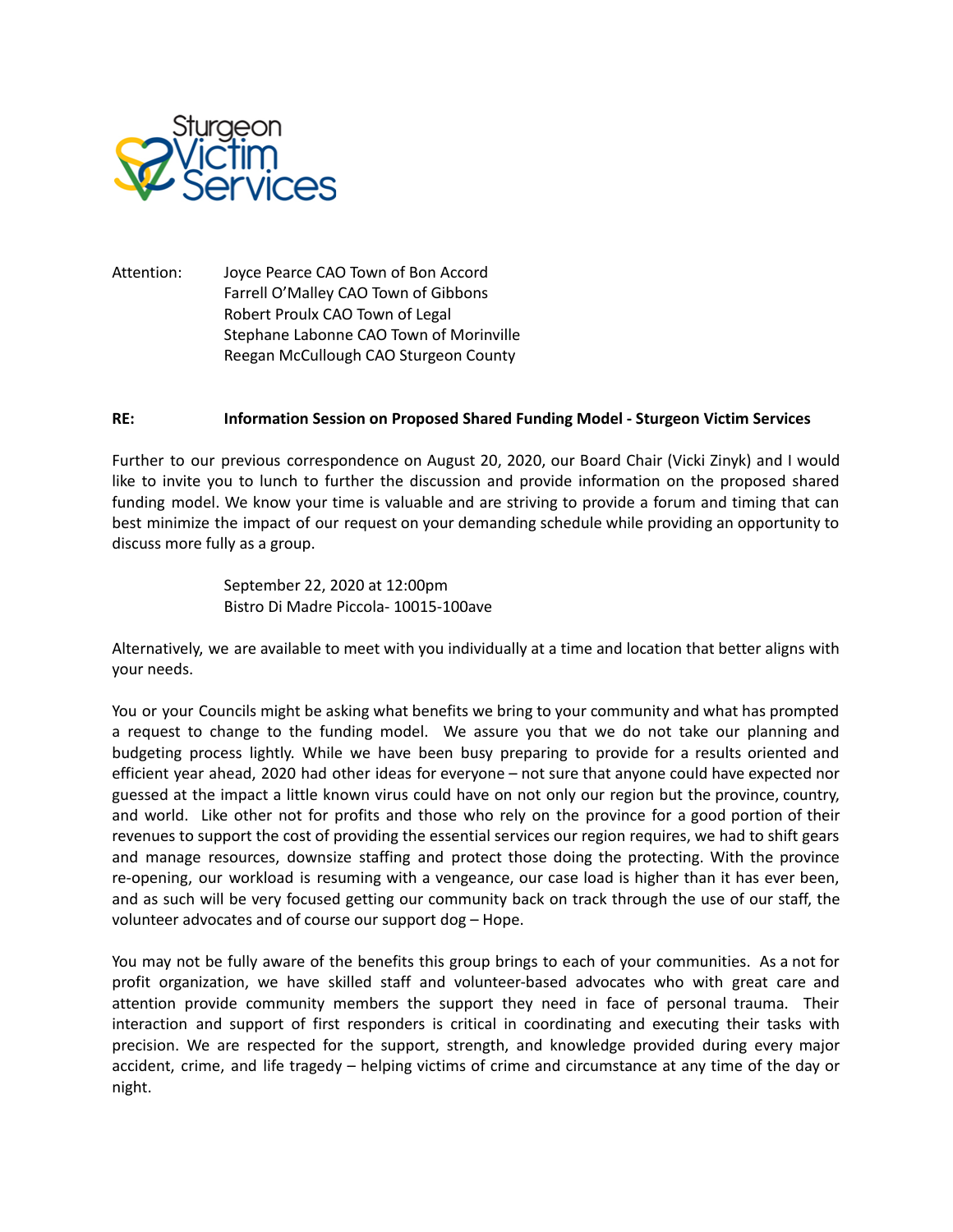

Attention: Joyce Pearce CAO Town of Bon Accord Farrell O'Malley CAO Town of Gibbons Robert Proulx CAO Town of Legal Stephane Labonne CAO Town of Morinville Reegan McCullough CAO Sturgeon County

## **RE: Information Session on Proposed Shared Funding Model - Sturgeon Victim Services**

Further to our previous correspondence on August 20, 2020, our Board Chair (Vicki Zinyk) and I would like to invite you to lunch to further the discussion and provide information on the proposed shared funding model. We know your time is valuable and are striving to provide a forum and timing that can best minimize the impact of our request on your demanding schedule while providing an opportunity to discuss more fully as a group.

> September 22, 2020 at 12:00pm Bistro Di Madre Piccola- 10015-100ave

Alternatively, we are available to meet with you individually at a time and location that better aligns with your needs.

You or your Councils might be asking what benefits we bring to your community and what has prompted a request to change to the funding model. We assure you that we do not take our planning and budgeting process lightly. While we have been busy preparing to provide for a results oriented and efficient year ahead, 2020 had other ideas for everyone – not sure that anyone could have expected nor guessed at the impact a little known virus could have on not only our region but the province, country, and world. Like other not for profits and those who rely on the province for a good portion of their revenues to support the cost of providing the essential services our region requires, we had to shift gears and manage resources, downsize staffing and protect those doing the protecting. With the province re-opening, our workload is resuming with a vengeance, our case load is higher than it has ever been, and as such will be very focused getting our community back on track through the use of our staff, the volunteer advocates and of course our support dog – Hope.

You may not be fully aware of the benefits this group brings to each of your communities. As a not for profit organization, we have skilled staff and volunteer-based advocates who with great care and attention provide community members the support they need in face of personal trauma. Their interaction and support of first responders is critical in coordinating and executing their tasks with precision. We are respected for the support, strength, and knowledge provided during every major accident, crime, and life tragedy – helping victims of crime and circumstance at any time of the day or night.